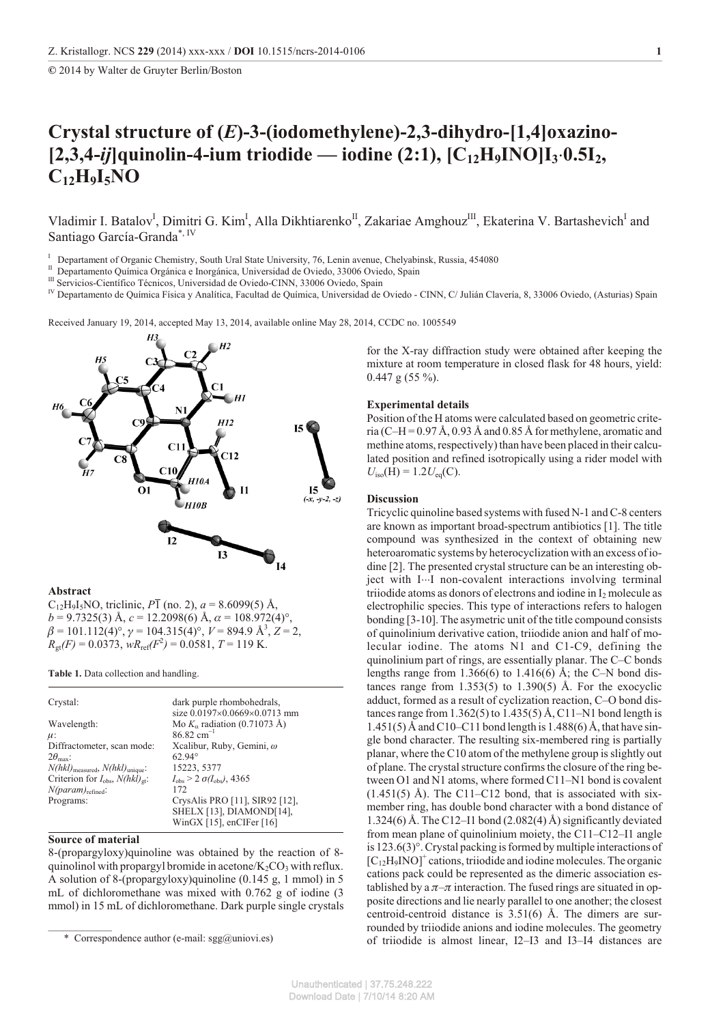**©** 2014 by Walter de Gruyter Berlin/Boston

# **Crys tal struc ture of (***E***)-3-(iodomethylene)-2,3-dihydro-[1,4]oxazino-**  $[2,3,4-ij]$ quinolin-4-ium triodide — iodine  $(2:1)$ ,  $[C_{12}H_9INO]I_3$   $[0.5I_2,$ **C12H9I5NO**

Vladimir I. Batalov<sup>I</sup>, Dimitri G. Kim<sup>I</sup>, Alla Dikhtiarenko<sup>II</sup>, Zakariae Amghouz<sup>III</sup>, Ekaterina V. Bartashevich<sup>I</sup> and Santiago García-Granda\*, IV

<sup>I</sup> Departament of Organic Chemistry, South Ural State University, 76, Lenin avenue, Chelyabinsk, Russia, 454080

- <sup>II</sup> Departamento Química Orgánica e Inorgánica, Universidad de Oviedo, 33006 Oviedo, Spain
- <sup>III</sup> Servicios-Científico Técnicos, Universidad de Oviedo-CINN, 33006 Oviedo, Spain

<sup>IV</sup> Departamento de Química Física y Analítica, Facultad de Química, Universidad de Oviedo - CINN, C/ Julián Clavería, 8, 33006 Oviedo, (Asturias) Spain

Received January 19, 2014, accepted May 13, 2014, available online May 28, 2014, CCDC no. 1005549



### **Abstract**

 $C_{12}H_9I_5NO$ , triclinic,  $P\bar{1}$  (no. 2),  $a = 8.6099(5)$  Å,  $b = 9.7325(3)$  Å,  $c = 12.2098(6)$  Å,  $\alpha = 108.972(4)$ °,  $\beta = 101.112(4)^\circ$ ,  $\gamma = 104.315(4)^\circ$ ,  $V = 894.9 \text{ Å}^3$ ,  $Z = 2$ ,  $R_{\text{gt}}(F) = 0.0373$ ,  $wR_{\text{ref}}(F^2) = 0.0581$ ,  $T = 119$  K.

**Table 1.** Data collection and handling.

| Crystal:                                             | dark purple rhombohedrals,                           |  |  |  |  |
|------------------------------------------------------|------------------------------------------------------|--|--|--|--|
|                                                      | size 0.0197 0.0669 0.0713 mm                         |  |  |  |  |
| Wavelength:                                          | Mo K radiation $(0.71073 \text{ Å})$                 |  |  |  |  |
| $\mu$ :                                              | $86.82$ cm <sup>-1</sup>                             |  |  |  |  |
| Diffractometer, scan mode:                           | Xcalibur, Ruby, Gemini, $\omega$                     |  |  |  |  |
| $2\theta_{\text{max}}$ :                             | $62.94^{\circ}$                                      |  |  |  |  |
| $N(hkl)_{\text{measured}}, N(hkl)_{\text{unique}}$ : | 15223, 5377                                          |  |  |  |  |
| Criterion for $I_{obs}$ , $N(hkl)_{gt}$ :            | $I_{\text{obs}}$ > 2 $\sigma(I_{\text{obs}})$ , 4365 |  |  |  |  |
| $N(param)_{refined}$ :                               | 172                                                  |  |  |  |  |
| Programs:                                            | CrysAlis PRO [11], SIR92 [12],                       |  |  |  |  |
|                                                      | SHELX [13], DIAMOND[14],                             |  |  |  |  |
|                                                      | WinGX [15], enCIFer [16]                             |  |  |  |  |

### **Source of material**

8-(propargyloxy)quinoline was obtained by the reaction of 8quinolinol with propargyl bromide in acetone/ $K_2CO_3$  with reflux. A solution of 8-(propargyloxy)quinoline (0.145 g, 1 mmol) in 5 mL of dichloromethane was mixed with 0.762 g of iodine (3 mmol) in 15 mL of dichloromethane. Dark purple single crystals

for the X-ray diffraction study were obtained after keeping the mixture at room temperature in closed flask for 48 hours, yield:  $0.447$  g (55 %).

## **Experimental details**

Position of the H atoms were calculated based on geometric criteria (C–H =  $0.97 \text{ Å}$ , 0.93 Å and 0.85 Å for methylene, aromatic and methine atoms, respectively) than have been placed in their calculated position and refined isotropically using a rider model with  $U_{\text{iso}}(\bar{H}) = 1.2 U_{\text{eq}}(C)$ .

## **Discussion**

Tricyclic quinoline based systems with fused N-1 and C-8 centers are known as important broad-spectrum antibiotics [1]. The title compound was synthesized in the context of obtaining new heteroaromatic systems by heterocyclization with an excess of iodine [2]. The presented crystal structure can be an interesting object with I I non-covalent interactions involving terminal triiodide atoms as donors of electrons and iodine in I<sub>2</sub> molecule as electrophilic species. This type of interactions refers to halogen bonding [3-10]. The asymetric unit of the title compound consists of quinolinium derivative cation, triiodide anion and half of molecular iodine. The atoms  $N1$  and  $C1-C9$ , defining the quinolinium part of rings, are essentially planar. The C–C bonds lengths range from 1.366(6) to 1.416(6) Å; the C–N bond distances range from  $1.353(5)$  to  $1.390(5)$  Å. For the exocyclic adduct, formed as a result of cyclization reaction, C–O bond distances range from  $1.362(5)$  to  $1.435(5)$  Å, C11–N1 bond length is  $1.451(5)$  Å and C10–C11 bond length is 1.488(6) Å, that have single bond character. The resulting six-membered ring is partially planar, where the C10 atom of the methylene group is slightly out of plane. The crystal structure confirms the closure of the ring between O1 and N1 atoms, where formed C11–N1 bond is covalent  $(1.451(5)$  Å). The C11–C12 bond, that is associated with sixmember ring, has double bond character with a bond distance of 1.324(6) Å. The C12–I1 bond (2.082(4) Å) significantly deviated from mean plane of quinolinium moiety, the C11–C12–I1 angle is  $123.6(3)^\circ$ . Crystal packing is formed by multiple interactions of  $[C_{12}H_9NO]^+$  cations, triiodide and iodine molecules. The organic cations pack could be represented as the dimeric association established by a  $\pi-\pi$  interaction. The fused rings are situated in opposite directions and lie nearly parallel to one another; the closest centroid-centroid distance is  $3.51(6)$  Å. The dimers are surrounded by triiodide anions and iodine molecules. The geometry of triiodide is almost linear, I2–I3 and I3–I4 distances are

<sup>\*</sup> Correspondence author (e-mail: sgg@uniovi.es)